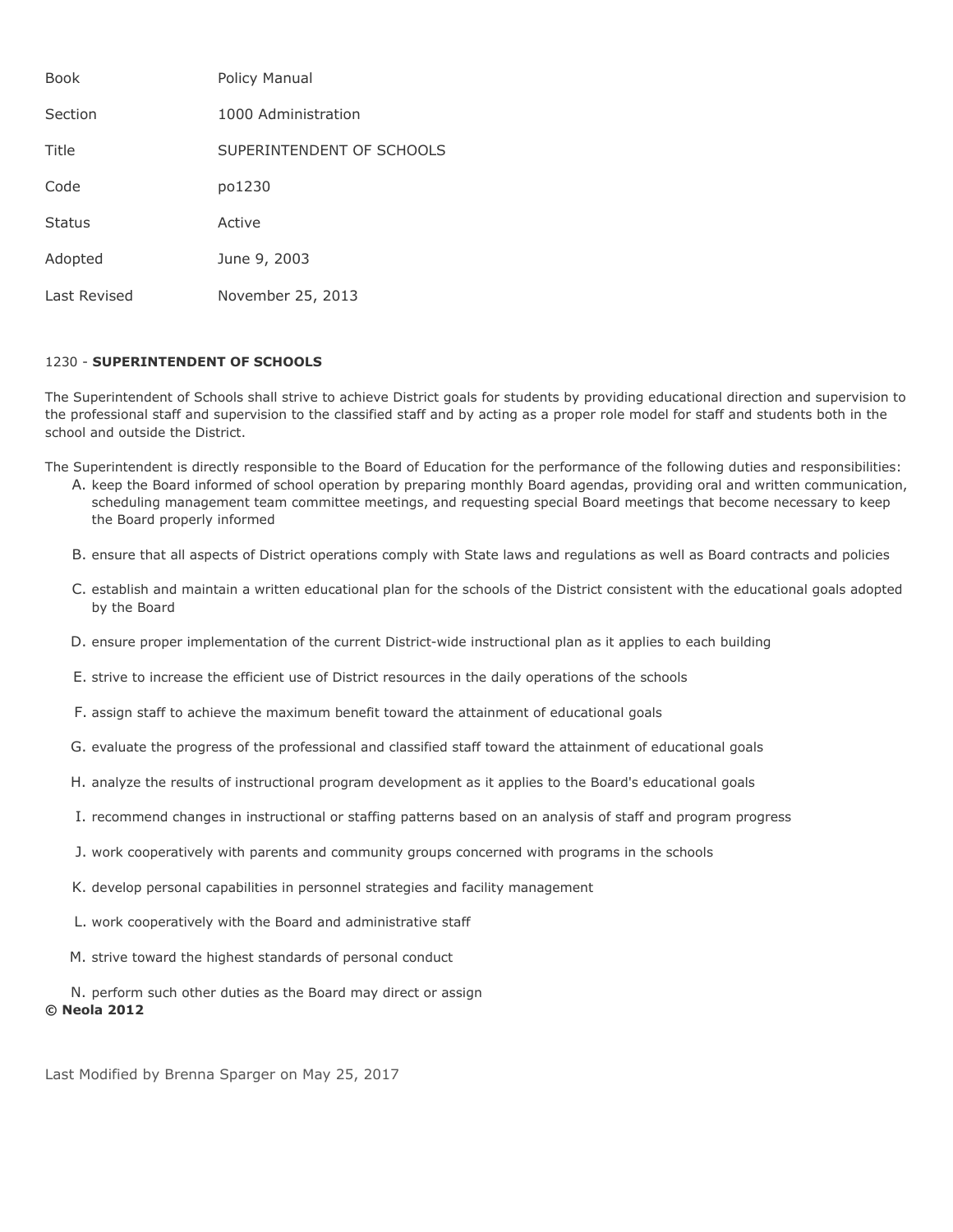| <b>Book</b>   | Policy Manual             |
|---------------|---------------------------|
| Section       | 1000 Administration       |
| Title         | SUPERINTENDENT OF SCHOOLS |
| Code          | po1230                    |
| <b>Status</b> | Active                    |
| Adopted       | June 9, 2003              |
| Last Revised  | November 25, 2013         |

# 1230 - **SUPERINTENDENT OF SCHOOLS**

The Superintendent of Schools shall strive to achieve District goals for students by providing educational direction and supervision to the professional staff and supervision to the classified staff and by acting as a proper role model for staff and students both in the school and outside the District.

The Superintendent is directly responsible to the Board of Education for the performance of the following duties and responsibilities:

- A. keep the Board informed of school operation by preparing monthly Board agendas, providing oral and written communication, scheduling management team committee meetings, and requesting special Board meetings that become necessary to keep the Board properly informed
- B. ensure that all aspects of District operations comply with State laws and regulations as well as Board contracts and policies
- C. establish and maintain a written educational plan for the schools of the District consistent with the educational goals adopted by the Board
- D. ensure proper implementation of the current District-wide instructional plan as it applies to each building
- E. strive to increase the efficient use of District resources in the daily operations of the schools
- F. assign staff to achieve the maximum benefit toward the attainment of educational goals
- G. evaluate the progress of the professional and classified staff toward the attainment of educational goals
- H. analyze the results of instructional program development as it applies to the Board's educational goals
- I. recommend changes in instructional or staffing patterns based on an analysis of staff and program progress
- J. work cooperatively with parents and community groups concerned with programs in the schools
- K. develop personal capabilities in personnel strategies and facility management
- L. work cooperatively with the Board and administrative staff
- M. strive toward the highest standards of personal conduct
- N. perform such other duties as the Board may direct or assign **© Neola 2012**

Last Modified by Brenna Sparger on May 25, 2017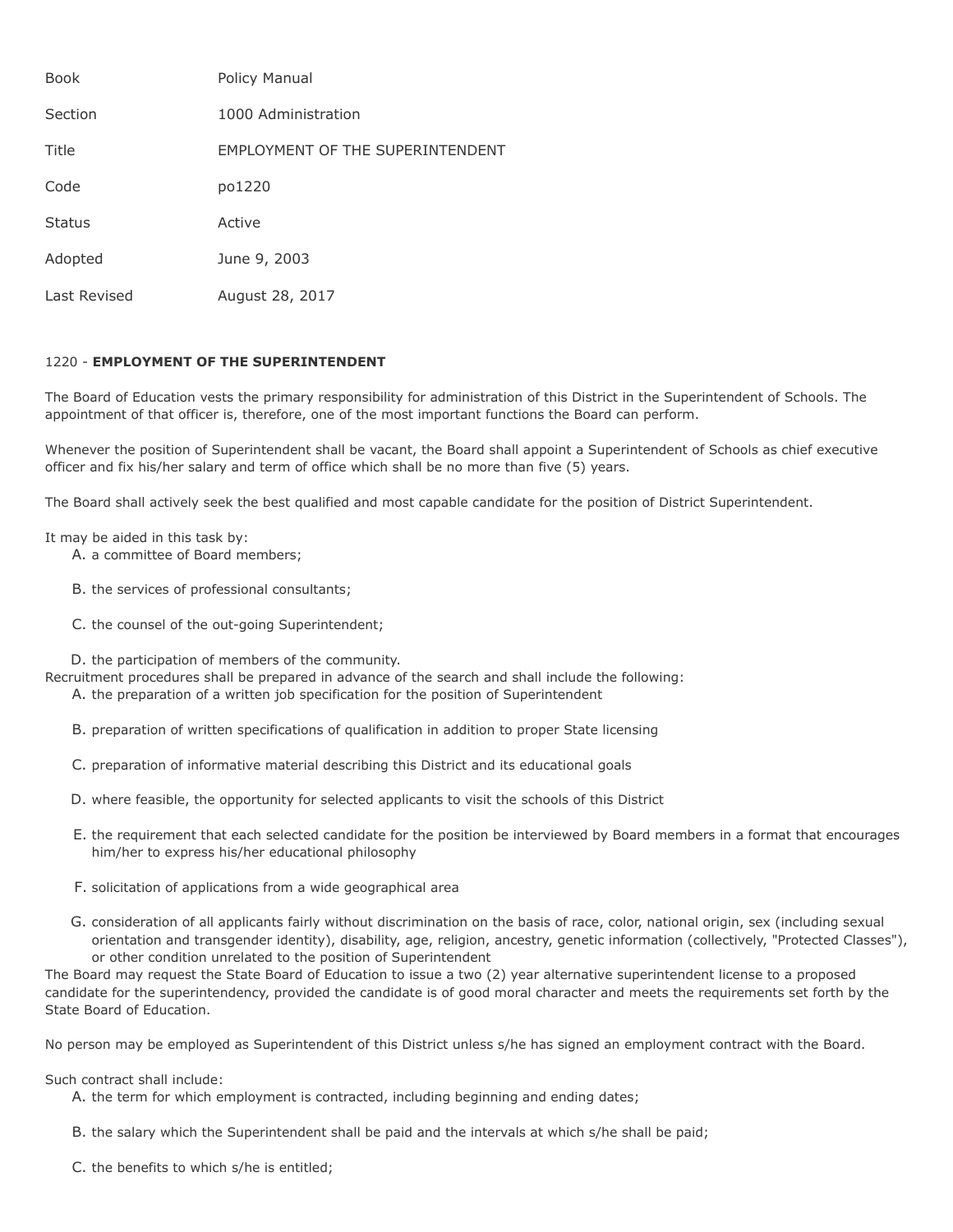| <b>Book</b>   | Policy Manual                    |
|---------------|----------------------------------|
| Section       | 1000 Administration              |
| Title         | EMPLOYMENT OF THE SUPERINTENDENT |
| Code          | po1220                           |
| <b>Status</b> | Active                           |
| Adopted       | June 9, 2003                     |
| Last Revised  | August 28, 2017                  |

### 1220 - **EMPLOYMENT OF THE SUPERINTENDENT**

The Board of Education vests the primary responsibility for administration of this District in the Superintendent of Schools. The appointment of that officer is, therefore, one of the most important functions the Board can perform.

Whenever the position of Superintendent shall be vacant, the Board shall appoint a Superintendent of Schools as chief executive officer and fix his/her salary and term of office which shall be no more than five (5) years.

The Board shall actively seek the best qualified and most capable candidate for the position of District Superintendent.

It may be aided in this task by:

A. a committee of Board members;

- B. the services of professional consultants;
- C. the counsel of the out-going Superintendent;

D. the participation of members of the community.

Recruitment procedures shall be prepared in advance of the search and shall include the following:

- A. the preparation of a written job specification for the position of Superintendent
- B. preparation of written specifications of qualification in addition to proper State licensing
- C. preparation of informative material describing this District and its educational goals
- D. where feasible, the opportunity for selected applicants to visit the schools of this District
- E. the requirement that each selected candidate for the position be interviewed by Board members in a format that encourages him/her to express his/her educational philosophy
- F. solicitation of applications from a wide geographical area
- G. consideration of all applicants fairly without discrimination on the basis of race, color, national origin, sex (including sexual orientation and transgender identity), disability, age, religion, ancestry, genetic information (collectively, "Protected Classes"), or other condition unrelated to the position of Superintendent

The Board may request the State Board of Education to issue a two (2) year alternative superintendent license to a proposed candidate for the superintendency, provided the candidate is of good moral character and meets the requirements set forth by the State Board of Education.

No person may be employed as Superintendent of this District unless s/he has signed an employment contract with the Board.

Such contract shall include:

- A. the term for which employment is contracted, including beginning and ending dates;
- B. the salary which the Superintendent shall be paid and the intervals at which s/he shall be paid;
- C. the benefits to which s/he is entitled;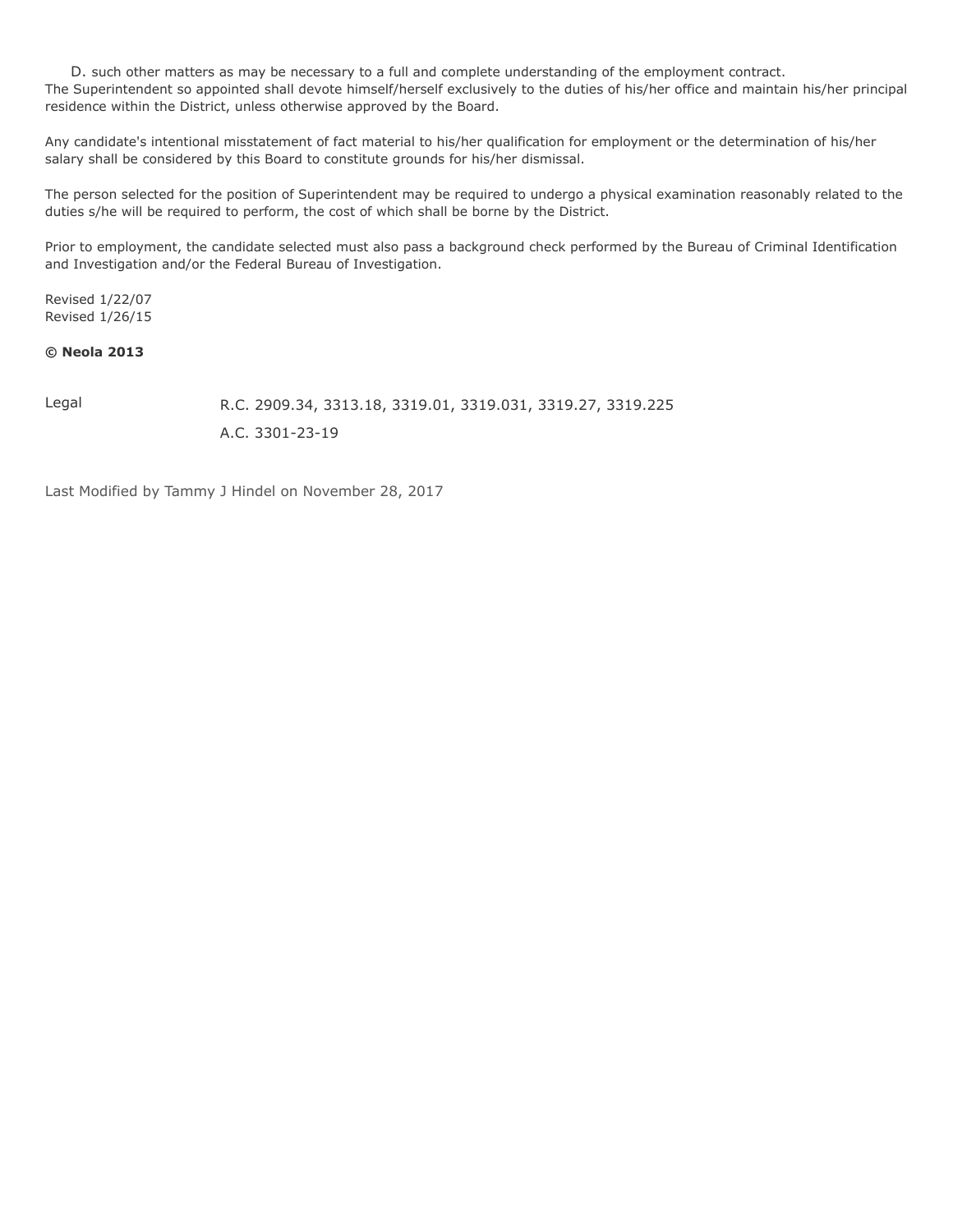D. such other matters as may be necessary to a full and complete understanding of the employment contract. The Superintendent so appointed shall devote himself/herself exclusively to the duties of his/her office and maintain his/her principal residence within the District, unless otherwise approved by the Board.

Any candidate's intentional misstatement of fact material to his/her qualification for employment or the determination of his/her salary shall be considered by this Board to constitute grounds for his/her dismissal.

The person selected for the position of Superintendent may be required to undergo a physical examination reasonably related to the duties s/he will be required to perform, the cost of which shall be borne by the District.

Prior to employment, the candidate selected must also pass a background check performed by the Bureau of Criminal Identification and Investigation and/or the Federal Bureau of Investigation.

Revised 1/22/07 Revised 1/26/15

## **© Neola 2013**

Legal R.C. 2909.34, 3313.18, 3319.01, 3319.031, 3319.27, 3319.225 A.C. 3301-23-19

Last Modified by Tammy J Hindel on November 28, 2017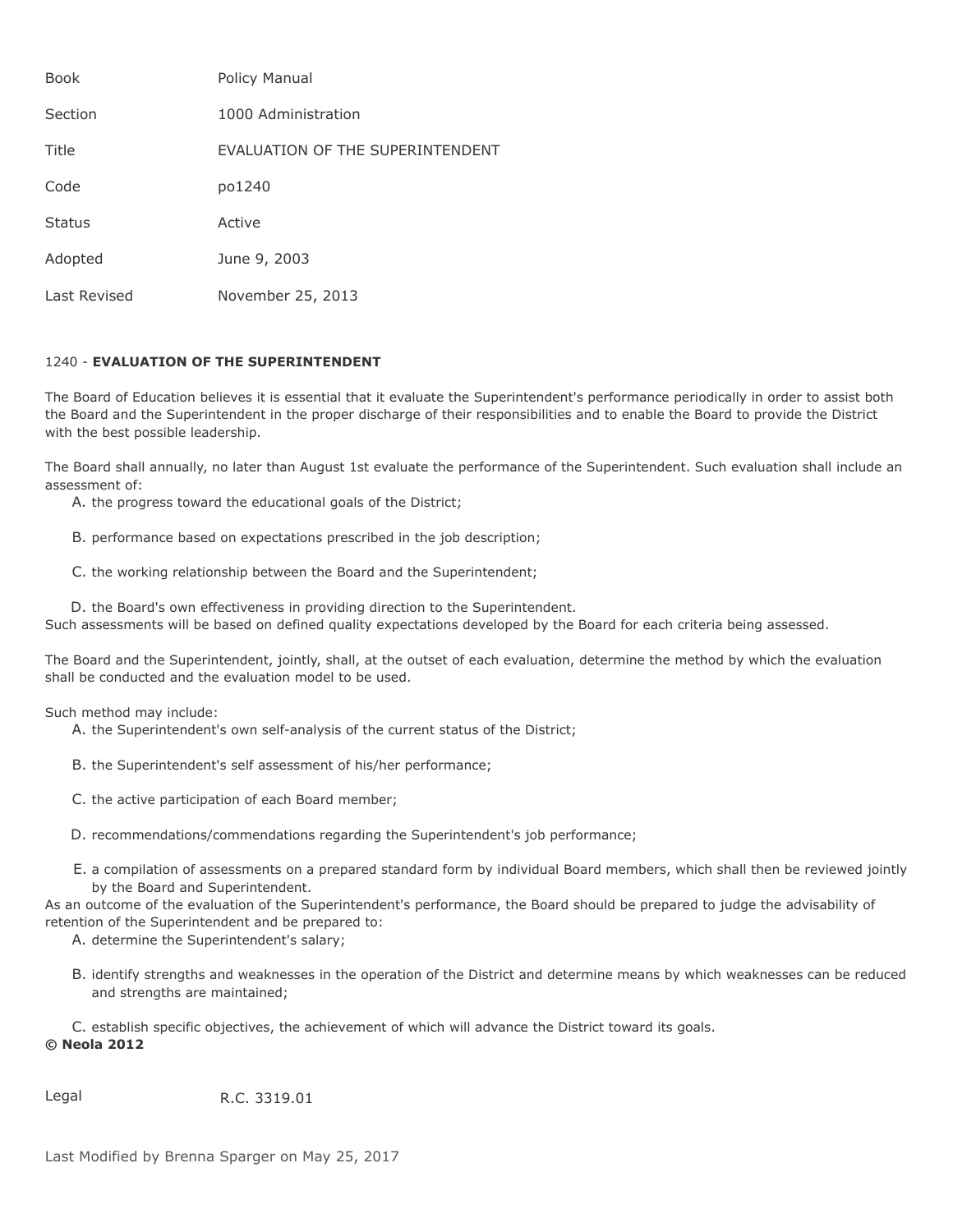| <b>Book</b>   | Policy Manual                    |
|---------------|----------------------------------|
| Section       | 1000 Administration              |
| Title         | EVALUATION OF THE SUPERINTENDENT |
| Code          | po1240                           |
| <b>Status</b> | Active                           |
| Adopted       | June 9, 2003                     |
| Last Revised  | November 25, 2013                |

### 1240 - **EVALUATION OF THE SUPERINTENDENT**

The Board of Education believes it is essential that it evaluate the Superintendent's performance periodically in order to assist both the Board and the Superintendent in the proper discharge of their responsibilities and to enable the Board to provide the District with the best possible leadership.

The Board shall annually, no later than August 1st evaluate the performance of the Superintendent. Such evaluation shall include an assessment of:

A. the progress toward the educational goals of the District;

- B. performance based on expectations prescribed in the job description;
- C. the working relationship between the Board and the Superintendent;

D. the Board's own effectiveness in providing direction to the Superintendent. Such assessments will be based on defined quality expectations developed by the Board for each criteria being assessed.

The Board and the Superintendent, jointly, shall, at the outset of each evaluation, determine the method by which the evaluation shall be conducted and the evaluation model to be used.

Such method may include:

- A. the Superintendent's own self-analysis of the current status of the District;
- B. the Superintendent's self assessment of his/her performance;
- C. the active participation of each Board member;
- D. recommendations/commendations regarding the Superintendent's job performance;
- E. a compilation of assessments on a prepared standard form by individual Board members, which shall then be reviewed jointly by the Board and Superintendent.

As an outcome of the evaluation of the Superintendent's performance, the Board should be prepared to judge the advisability of retention of the Superintendent and be prepared to:

A. determine the Superintendent's salary;

B. identify strengths and weaknesses in the operation of the District and determine means by which weaknesses can be reduced and strengths are maintained;

C. establish specific objectives, the achievement of which will advance the District toward its goals.

**© Neola 2012**

Legal R.C. 3319.01